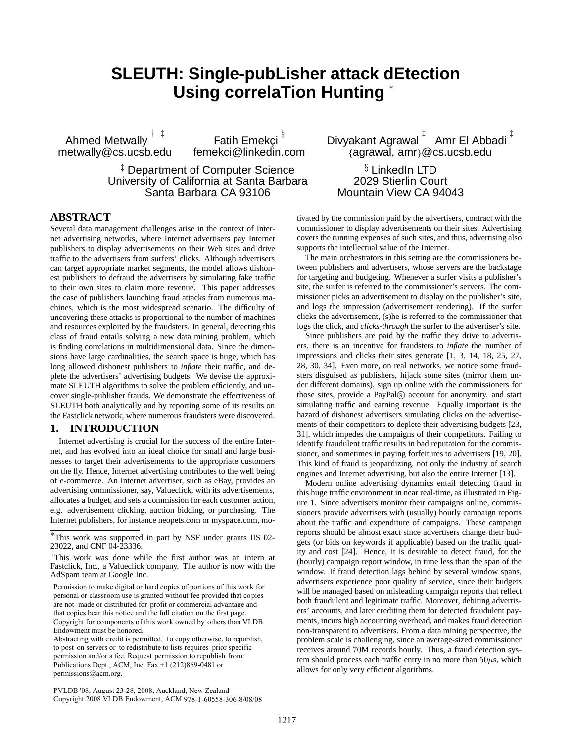# **SLEUTH: Single-pubLisher attack dEtection Using correlaTion Hunting** <sup>∗</sup>

Ahmed Metwally  $\frac{1}{1}$ metwally@cs.ucsb.edu

Fatih Emekçi<sup>§</sup> femekci@linkedin.com

‡ Department of Computer Science University of California at Santa Barbara Santa Barbara CA 93106

# **ABSTRACT**

Several data management challenges arise in the context of Internet advertising networks, where Internet advertisers pay Internet publishers to display advertisements on their Web sites and drive traffic to the advertisers from surfers' clicks. Although advertisers can target appropriate market segments, the model allows dishonest publishers to defraud the advertisers by simulating fake traffic to their own sites to claim more revenue. This paper addresses the case of publishers launching fraud attacks from numerous machines, which is the most widespread scenario. The difficulty of uncovering these attacks is proportional to the number of machines and resources exploited by the fraudsters. In general, detecting this class of fraud entails solving a new data mining problem, which is finding correlations in multidimensional data. Since the dimensions have large cardinalities, the search space is huge, which has long allowed dishonest publishers to *inflate* their traffic, and deplete the advertisers' advertising budgets. We devise the approximate SLEUTH algorithms to solve the problem efficiently, and uncover single-publisher frauds. We demonstrate the effectiveness of SLEUTH both analytically and by reporting some of its results on the Fastclick network, where numerous fraudsters were discovered.

# **1. INTRODUCTION**

Internet advertising is crucial for the success of the entire Internet, and has evolved into an ideal choice for small and large businesses to target their advertisements to the appropriate customers on the fly. Hence, Internet advertising contributes to the well being of e-commerce. An Internet advertiser, such as eBay, provides an advertising commissioner, say, Valueclick, with its advertisements, allocates a budget, and sets a commission for each customer action, e.g. advertisement clicking, auction bidding, or purchasing. The Internet publishers, for instance neopets.com or myspace.com, mo-

PVLDB '08, August 23-28, 2008, Auckland, New Zealand Copyright 2008 VLDB Endowment, ACM 978-1-60558-306-8/08/08 Divyakant Agrawal $\overline{1}$  Amr El Abbadi $\overline{1}$ {agrawal, amr}@cs.ucsb.edu

§ LinkedIn LTD 2029 Stierlin Court Mountain View CA 94043

tivated by the commission paid by the advertisers, contract with the commissioner to display advertisements on their sites. Advertising covers the running expenses of such sites, and thus, advertising also supports the intellectual value of the Internet.

The main orchestrators in this setting are the commissioners between publishers and advertisers, whose servers are the backstage for targeting and budgeting. Whenever a surfer visits a publisher's site, the surfer is referred to the commissioner's servers. The commissioner picks an advertisement to display on the publisher's site, and logs the impression (advertisement rendering). If the surfer clicks the advertisement, (s)he is referred to the commissioner that logs the click, and *clicks-through* the surfer to the advertiser's site.

Since publishers are paid by the traffic they drive to advertisers, there is an incentive for fraudsters to *inflate* the number of impressions and clicks their sites generate [1, 3, 14, 18, 25, 27, 28, 30, 34]. Even more, on real networks, we notice some fraudsters disguised as publishers, hijack some sites (mirror them under different domains), sign up online with the commissioners for those sites, provide a PayPal® account for anonymity, and start simulating traffic and earning revenue. Equally important is the hazard of dishonest advertisers simulating clicks on the advertisements of their competitors to deplete their advertising budgets [23, 31], which impedes the campaigns of their competitors. Failing to identify fraudulent traffic results in bad reputation for the commissioner, and sometimes in paying forfeitures to advertisers [19, 20]. This kind of fraud is jeopardizing, not only the industry of search engines and Internet advertising, but also the entire Internet [13].

Modern online advertising dynamics entail detecting fraud in this huge traffic environment in near real-time, as illustrated in Figure 1. Since advertisers monitor their campaigns online, commissioners provide advertisers with (usually) hourly campaign reports about the traffic and expenditure of campaigns. These campaign reports should be almost exact since advertisers change their budgets (or bids on keywords if applicable) based on the traffic quality and cost [24]. Hence, it is desirable to detect fraud, for the (hourly) campaign report window, in time less than the span of the window. If fraud detection lags behind by several window spans, advertisers experience poor quality of service, since their budgets will be managed based on misleading campaign reports that reflect both fraudulent and legitimate traffic. Moreover, debiting advertisers' accounts, and later crediting them for detected fraudulent payments, incurs high accounting overhead, and makes fraud detection non-transparent to advertisers. From a data mining perspective, the problem scale is challenging, since an average-sized commissioner receives around 70M records hourly. Thus, a fraud detection system should process each traffic entry in no more than  $50\mu s$ , which allows for only very efficient algorithms.

<sup>∗</sup>This work was supported in part by NSF under grants IIS 02- 23022, and CNF 04-23336.

<sup>†</sup>This work was done while the first author was an intern at Fastclick, Inc., a Valueclick company. The author is now with the AdSpam team at Google Inc.

are not made or distributed for profit or commercial advantage and that copies bear this notice and the full citation on the first page. Copyright for components of this work owned by others than VLDB Endowment must be honored. Permission to make digital or hard copies of portions of this work for personal or classroom use is granted without fee provided that copies

Abstracting with credit is permitted. To copy otherwise, to republish, to post on servers or to redistribute to lists requires prior specific permission and/or a fee. Request permission to republish from: *Publications Dept., ACM, Inc. Fax +1 (212)869-0481 or*  $permissions@acm.org.$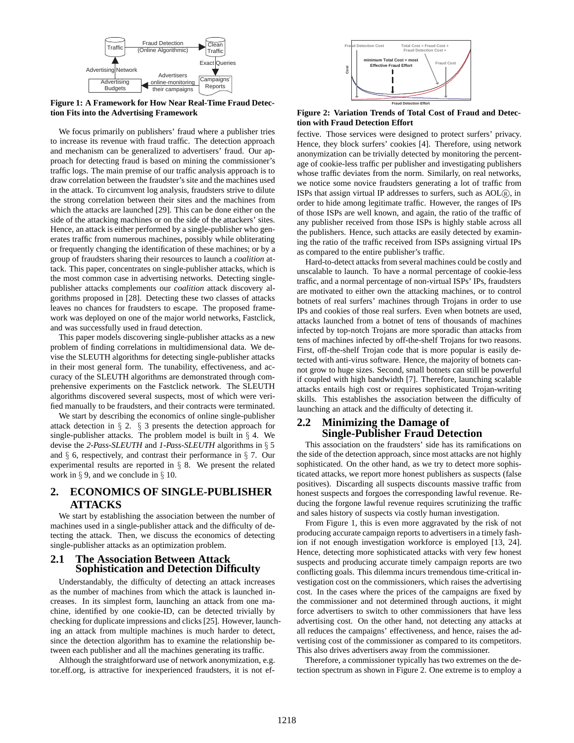

**Figure 1: A Framework for How Near Real-Time Fraud Detection Fits into the Advertising Framework**

We focus primarily on publishers' fraud where a publisher tries to increase its revenue with fraud traffic. The detection approach and mechanism can be generalized to advertisers' fraud. Our approach for detecting fraud is based on mining the commissioner's traffic logs. The main premise of our traffic analysis approach is to draw correlation between the fraudster's site and the machines used in the attack. To circumvent log analysis, fraudsters strive to dilute the strong correlation between their sites and the machines from which the attacks are launched [29]. This can be done either on the side of the attacking machines or on the side of the attackers' sites. Hence, an attack is either performed by a single-publisher who generates traffic from numerous machines, possibly while obliterating or frequently changing the identification of these machines; or by a group of fraudsters sharing their resources to launch a *coalition* attack. This paper, concentrates on single-publisher attacks, which is the most common case in advertising networks. Detecting singlepublisher attacks complements our *coalition* attack discovery algorithms proposed in [28]. Detecting these two classes of attacks leaves no chances for fraudsters to escape. The proposed framework was deployed on one of the major world networks, Fastclick, and was successfully used in fraud detection.

This paper models discovering single-publisher attacks as a new problem of finding correlations in multidimensional data. We devise the SLEUTH algorithms for detecting single-publisher attacks in their most general form. The tunability, effectiveness, and accuracy of the SLEUTH algorithms are demonstrated through comprehensive experiments on the Fastclick network. The SLEUTH algorithms discovered several suspects, most of which were verified manually to be fraudsters, and their contracts were terminated.

We start by describing the economics of online single-publisher attack detection in § 2. § 3 presents the detection approach for single-publisher attacks. The problem model is built in  $\S$  4. We devise the *2-Pass-SLEUTH* and *1-Pass-SLEUTH* algorithms in § 5 and  $\S$  6, respectively, and contrast their performance in  $\S$  7. Our experimental results are reported in § 8. We present the related work in § 9, and we conclude in § 10.

# **2. ECONOMICS OF SINGLE-PUBLISHER ATTACKS**

We start by establishing the association between the number of machines used in a single-publisher attack and the difficulty of detecting the attack. Then, we discuss the economics of detecting single-publisher attacks as an optimization problem.

# **2.1 The Association Between Attack Sophistication and Detection Difficulty**

Understandably, the difficulty of detecting an attack increases as the number of machines from which the attack is launched increases. In its simplest form, launching an attack from one machine, identified by one cookie-ID, can be detected trivially by checking for duplicate impressions and clicks [25]. However, launching an attack from multiple machines is much harder to detect, since the detection algorithm has to examine the relationship between each publisher and all the machines generating its traffic.

Although the straightforward use of network anonymization, e.g. tor.eff.org, is attractive for inexperienced fraudsters, it is not ef-



**Figure 2: Variation Trends of Total Cost of Fraud and Detection with Fraud Detection Effort**

fective. Those services were designed to protect surfers' privacy. Hence, they block surfers' cookies [4]. Therefore, using network anonymization can be trivially detected by monitoring the percentage of cookie-less traffic per publisher and investigating publishers whose traffic deviates from the norm. Similarly, on real networks, we notice some novice fraudsters generating a lot of traffic from ISPs that assign virtual IP addresses to surfers, such as  $AOL(\mathbb{R})$ , in order to hide among legitimate traffic. However, the ranges of IPs of those ISPs are well known, and again, the ratio of the traffic of any publisher received from those ISPs is highly stable across all the publishers. Hence, such attacks are easily detected by examining the ratio of the traffic received from ISPs assigning virtual IPs as compared to the entire publisher's traffic.

Hard-to-detect attacks from several machines could be costly and unscalable to launch. To have a normal percentage of cookie-less traffic, and a normal percentage of non-virtual ISPs' IPs, fraudsters are motivated to either own the attacking machines, or to control botnets of real surfers' machines through Trojans in order to use IPs and cookies of those real surfers. Even when botnets are used, attacks launched from a botnet of tens of thousands of machines infected by top-notch Trojans are more sporadic than attacks from tens of machines infected by off-the-shelf Trojans for two reasons. First, off-the-shelf Trojan code that is more popular is easily detected with anti-virus software. Hence, the majority of botnets cannot grow to huge sizes. Second, small botnets can still be powerful if coupled with high bandwidth [7]. Therefore, launching scalable attacks entails high cost or requires sophisticated Trojan-writing skills. This establishes the association between the difficulty of launching an attack and the difficulty of detecting it.

# **2.2 Minimizing the Damage of Single-Publisher Fraud Detection**

This association on the fraudsters' side has its ramifications on the side of the detection approach, since most attacks are not highly sophisticated. On the other hand, as we try to detect more sophisticated attacks, we report more honest publishers as suspects (false positives). Discarding all suspects discounts massive traffic from honest suspects and forgoes the corresponding lawful revenue. Reducing the forgone lawful revenue requires scrutinizing the traffic and sales history of suspects via costly human investigation.

From Figure 1, this is even more aggravated by the risk of not producing accurate campaign reports to advertisers in a timely fashion if not enough investigation workforce is employed [13, 24]. Hence, detecting more sophisticated attacks with very few honest suspects and producing accurate timely campaign reports are two conflicting goals. This dilemma incurs tremendous time-critical investigation cost on the commissioners, which raises the advertising cost. In the cases where the prices of the campaigns are fixed by the commissioner and not determined through auctions, it might force advertisers to switch to other commissioners that have less advertising cost. On the other hand, not detecting any attacks at all reduces the campaigns' effectiveness, and hence, raises the advertising cost of the commissioner as compared to its competitors. This also drives advertisers away from the commissioner.

Therefore, a commissioner typically has two extremes on the detection spectrum as shown in Figure 2. One extreme is to employ a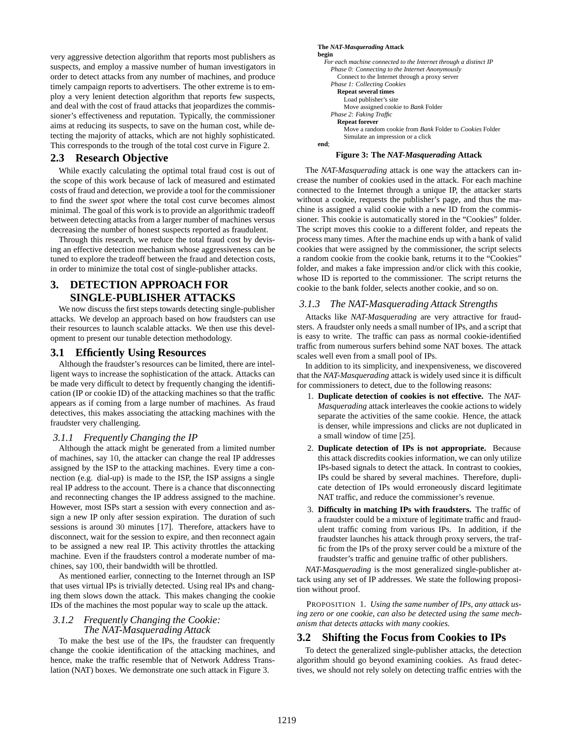very aggressive detection algorithm that reports most publishers as suspects, and employ a massive number of human investigators in order to detect attacks from any number of machines, and produce timely campaign reports to advertisers. The other extreme is to employ a very lenient detection algorithm that reports few suspects, and deal with the cost of fraud attacks that jeopardizes the commissioner's effectiveness and reputation. Typically, the commissioner aims at reducing its suspects, to save on the human cost, while detecting the majority of attacks, which are not highly sophisticated. This corresponds to the trough of the total cost curve in Figure 2.

# **2.3 Research Objective**

While exactly calculating the optimal total fraud cost is out of the scope of this work because of lack of measured and estimated costs of fraud and detection, we provide a tool for the commissioner to find the *sweet spot* where the total cost curve becomes almost minimal. The goal of this work is to provide an algorithmic tradeoff between detecting attacks from a larger number of machines versus decreasing the number of honest suspects reported as fraudulent.

Through this research, we reduce the total fraud cost by devising an effective detection mechanism whose aggressiveness can be tuned to explore the tradeoff between the fraud and detection costs, in order to minimize the total cost of single-publisher attacks.

# **3. DETECTION APPROACH FOR SINGLE-PUBLISHER ATTACKS**

We now discuss the first steps towards detecting single-publisher attacks. We develop an approach based on how fraudsters can use their resources to launch scalable attacks. We then use this development to present our tunable detection methodology.

# **3.1 Efficiently Using Resources**

Although the fraudster's resources can be limited, there are intelligent ways to increase the sophistication of the attack. Attacks can be made very difficult to detect by frequently changing the identification (IP or cookie ID) of the attacking machines so that the traffic appears as if coming from a large number of machines. As fraud detectives, this makes associating the attacking machines with the fraudster very challenging.

# *3.1.1 Frequently Changing the IP*

Although the attack might be generated from a limited number of machines, say 10, the attacker can change the real IP addresses assigned by the ISP to the attacking machines. Every time a connection (e.g. dial-up) is made to the ISP, the ISP assigns a single real IP address to the account. There is a chance that disconnecting and reconnecting changes the IP address assigned to the machine. However, most ISPs start a session with every connection and assign a new IP only after session expiration. The duration of such sessions is around 30 minutes [17]. Therefore, attackers have to disconnect, wait for the session to expire, and then reconnect again to be assigned a new real IP. This activity throttles the attacking machine. Even if the fraudsters control a moderate number of machines, say 100, their bandwidth will be throttled.

As mentioned earlier, connecting to the Internet through an ISP that uses virtual IPs is trivially detected. Using real IPs and changing them slows down the attack. This makes changing the cookie IDs of the machines the most popular way to scale up the attack.

# *3.1.2 Frequently Changing the Cookie: The NAT-Masquerading Attack*

To make the best use of the IPs, the fraudster can frequently change the cookie identification of the attacking machines, and hence, make the traffic resemble that of Network Address Translation (NAT) boxes. We demonstrate one such attack in Figure 3.

```
The NAT-Masquerading Attack
begin
  For each machine connected to the Internet through a distinct IP
    Phase 0: Connecting to the Internet Anonymously
       Connect to the Internet through a proxy server
    Phase 1: Collecting Cookies
       Repeat several times
         Load publisher's site
         Move assigned cookie to Bank Folder
    Phase 2: Faking Traffic
       Repeat forever
         Move a random cookie from Bank Folder to Cookies Folder
         Simulate an impression or a click
end;
```
#### **Figure 3: The** *NAT-Masquerading* **Attack**

The *NAT-Masquerading* attack is one way the attackers can increase the number of cookies used in the attack. For each machine connected to the Internet through a unique IP, the attacker starts without a cookie, requests the publisher's page, and thus the machine is assigned a valid cookie with a new ID from the commissioner. This cookie is automatically stored in the "Cookies" folder. The script moves this cookie to a different folder, and repeats the process many times. After the machine ends up with a bank of valid cookies that were assigned by the commissioner, the script selects a random cookie from the cookie bank, returns it to the "Cookies" folder, and makes a fake impression and/or click with this cookie, whose ID is reported to the commissioner. The script returns the cookie to the bank folder, selects another cookie, and so on.

# *3.1.3 The NAT-Masquerading Attack Strengths*

Attacks like *NAT-Masquerading* are very attractive for fraudsters. A fraudster only needs a small number of IPs, and a script that is easy to write. The traffic can pass as normal cookie-identified traffic from numerous surfers behind some NAT boxes. The attack scales well even from a small pool of IPs.

In addition to its simplicity, and inexpensiveness, we discovered that the *NAT-Masquerading* attack is widely used since it is difficult for commissioners to detect, due to the following reasons:

- 1. **Duplicate detection of cookies is not effective.** The *NAT-Masquerading* attack interleaves the cookie actions to widely separate the activities of the same cookie. Hence, the attack is denser, while impressions and clicks are not duplicated in a small window of time [25].
- 2. **Duplicate detection of IPs is not appropriate.** Because this attack discredits cookies information, we can only utilize IPs-based signals to detect the attack. In contrast to cookies, IPs could be shared by several machines. Therefore, duplicate detection of IPs would erroneously discard legitimate NAT traffic, and reduce the commissioner's revenue.
- 3. **Difficulty in matching IPs with fraudsters.** The traffic of a fraudster could be a mixture of legitimate traffic and fraudulent traffic coming from various IPs. In addition, if the fraudster launches his attack through proxy servers, the traffic from the IPs of the proxy server could be a mixture of the fraudster's traffic and genuine traffic of other publishers.

*NAT-Masquerading* is the most generalized single-publisher attack using any set of IP addresses. We state the following proposition without proof.

PROPOSITION 1. *Using the same number of IPs, any attack using zero or one cookie, can also be detected using the same mechanism that detects attacks with many cookies.*

# **3.2 Shifting the Focus from Cookies to IPs**

To detect the generalized single-publisher attacks, the detection algorithm should go beyond examining cookies. As fraud detectives, we should not rely solely on detecting traffic entries with the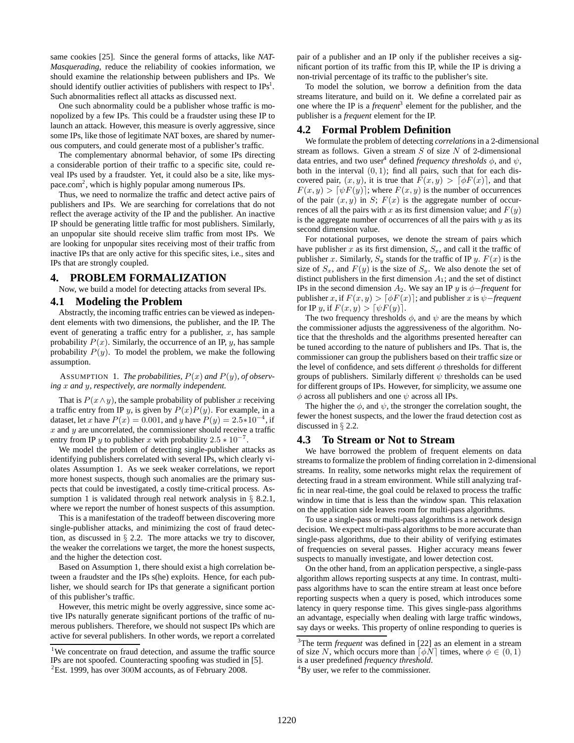same cookies [25]. Since the general forms of attacks, like *NAT-Masquerading*, reduce the reliability of cookies information, we should examine the relationship between publishers and IPs. We should identify outlier activities of publishers with respect to  $IPs<sup>1</sup>$ . Such abnormalities reflect all attacks as discussed next.

One such abnormality could be a publisher whose traffic is monopolized by a few IPs. This could be a fraudster using these IP to launch an attack. However, this measure is overly aggressive, since some IPs, like those of legitimate NAT boxes, are shared by numerous computers, and could generate most of a publisher's traffic.

The complementary abnormal behavior, of some IPs directing a considerable portion of their traffic to a specific site, could reveal IPs used by a fraudster. Yet, it could also be a site, like myspace.com<sup>2</sup>, which is highly popular among numerous IPs.

Thus, we need to normalize the traffic and detect active pairs of publishers and IPs. We are searching for correlations that do not reflect the average activity of the IP and the publisher. An inactive IP should be generating little traffic for most publishers. Similarly, an unpopular site should receive slim traffic from most IPs. We are looking for unpopular sites receiving most of their traffic from inactive IPs that are only active for this specific sites, i.e., sites and IPs that are strongly coupled.

#### **4. PROBLEM FORMALIZATION**

Now, we build a model for detecting attacks from several IPs.

#### **4.1 Modeling the Problem**

Abstractly, the incoming traffic entries can be viewed as independent elements with two dimensions, the publisher, and the IP. The event of generating a traffic entry for a publisher,  $x$ , has sample probability  $P(x)$ . Similarly, the occurrence of an IP, y, has sample probability  $P(y)$ . To model the problem, we make the following assumption.

ASSUMPTION 1. *The probabilities,*  $P(x)$  *and*  $P(y)$ *, of observing* x *and* y*, respectively, are normally independent.*

That is  $P(x \land y)$ , the sample probability of publisher x receiving a traffic entry from IP y, is given by  $P(x)P(y)$ . For example, in a dataset, let x have  $P(x)=0.001$ , and y have  $P(y)=2.5*10^{-4}$ , if  $x$  and  $y$  are uncorrelated, the commissioner should receive a traffic entry from IP y to publisher x with probability  $2.5 \times 10^{-7}$ .

We model the problem of detecting single-publisher attacks as identifying publishers correlated with several IPs, which clearly violates Assumption 1. As we seek weaker correlations, we report more honest suspects, though such anomalies are the primary suspects that could be investigated, a costly time-critical process. Assumption 1 is validated through real network analysis in  $\S$  8.2.1, where we report the number of honest suspects of this assumption.

This is a manifestation of the tradeoff between discovering more single-publisher attacks, and minimizing the cost of fraud detection, as discussed in § 2.2. The more attacks we try to discover, the weaker the correlations we target, the more the honest suspects, and the higher the detection cost.

Based on Assumption 1, there should exist a high correlation between a fraudster and the IPs s(he) exploits. Hence, for each publisher, we should search for IPs that generate a significant portion of this publisher's traffic.

However, this metric might be overly aggressive, since some active IPs naturally generate significant portions of the traffic of numerous publishers. Therefore, we should not suspect IPs which are active for several publishers. In other words, we report a correlated

<sup>1</sup>We concentrate on fraud detection, and assume the traffic source IPs are not spoofed. Counteracting spoofing was studied in [5].

pair of a publisher and an IP only if the publisher receives a significant portion of its traffic from this IP, while the IP is driving a non-trivial percentage of its traffic to the publisher's site.

To model the solution, we borrow a definition from the data streams literature, and build on it. We define a correlated pair as one where the IP is a *frequent*<sup>3</sup> element for the publisher, and the publisher is a *frequent* element for the IP.

### **4.2 Formal Problem Definition**

We formulate the problem of detecting *correlations* in a 2-dimensional stream as follows. Given a stream  $S$  of size  $N$  of 2-dimensional data entries, and two user<sup>4</sup> defined *frequency thresholds*  $\phi$ , and  $\psi$ , both in the interval  $(0, 1)$ ; find all pairs, such that for each discovered pair,  $(x, y)$ , it is true that  $F(x, y) > \lceil \phi F(x) \rceil$ , and that  $F(x, y) > \lceil \psi F(y) \rceil$ ; where  $F(x, y)$  is the number of occurrences of the pair  $(x, y)$  in S;  $F(x)$  is the aggregate number of occurrences of all the pairs with x as its first dimension value; and  $F(y)$ is the aggregate number of occurrences of all the pairs with  $y$  as its second dimension value.

For notational purposes, we denote the stream of pairs which have publisher x as its first dimension,  $S_x$ , and call it the traffic of publisher x. Similarly,  $S_y$  stands for the traffic of IP y.  $F(x)$  is the size of  $S_x$ , and  $F(y)$  is the size of  $S_y$ . We also denote the set of distinct publishers in the first dimension  $A_1$ ; and the set of distinct IPs in the second dimension  $A_2$ . We say an IP y is  $\phi$ *-frequent* for publisher x, if  $F(x, y) > \lceil \phi F(x) \rceil$ ; and publisher x is  $\psi$ *-frequent* for IP y, if  $F(x, y) > \lfloor \psi F(y) \rfloor$ .

The two frequency thresholds  $\phi$ , and  $\psi$  are the means by which the commissioner adjusts the aggressiveness of the algorithm. Notice that the thresholds and the algorithms presented hereafter can be tuned according to the nature of publishers and IPs. That is, the commissioner can group the publishers based on their traffic size or the level of confidence, and sets different  $\phi$  thresholds for different groups of publishers. Similarly different  $\psi$  thresholds can be used for different groups of IPs. However, for simplicity, we assume one  $\phi$  across all publishers and one  $\psi$  across all IPs.

The higher the  $\phi$ , and  $\psi$ , the stronger the correlation sought, the fewer the honest suspects, and the lower the fraud detection cost as discussed in § 2.2.

#### **4.3 To Stream or Not to Stream**

We have borrowed the problem of frequent elements on data streams to formalize the problem of finding correlation in 2-dimensional streams. In reality, some networks might relax the requirement of detecting fraud in a stream environment. While still analyzing traffic in near real-time, the goal could be relaxed to process the traffic window in time that is less than the window span. This relaxation on the application side leaves room for multi-pass algorithms.

To use a single-pass or multi-pass algorithms is a network design decision. We expect multi-pass algorithms to be more accurate than single-pass algorithms, due to their ability of verifying estimates of frequencies on several passes. Higher accuracy means fewer suspects to manually investigate, and lower detection cost.

On the other hand, from an application perspective, a single-pass algorithm allows reporting suspects at any time. In contrast, multipass algorithms have to scan the entire stream at least once before reporting suspects when a query is posed, which introduces some latency in query response time. This gives single-pass algorithms an advantage, especially when dealing with large traffic windows, say days or weeks. This property of online responding to queries is

<sup>&</sup>lt;sup>2</sup>Est. 1999, has over 300M accounts, as of February 2008.

<sup>&</sup>lt;sup>3</sup>The term *frequent* was defined in [22] as an element in a stream of size N, which occurs more than  $\lceil \phi N \rceil$  times, where  $\phi \in (0, 1)$ is a user predefined *frequency threshold*.

<sup>4</sup> By user, we refer to the commissioner.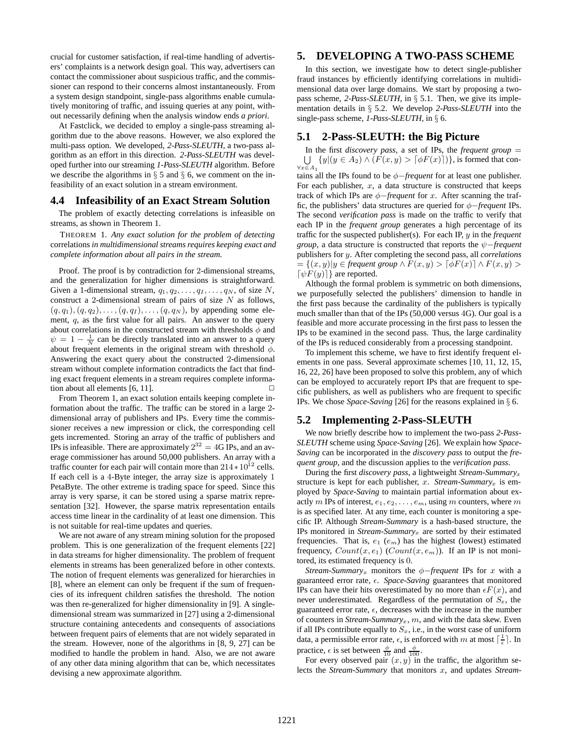crucial for customer satisfaction, if real-time handling of advertisers' complaints is a network design goal. This way, advertisers can contact the commissioner about suspicious traffic, and the commissioner can respond to their concerns almost instantaneously. From a system design standpoint, single-pass algorithms enable cumulatively monitoring of traffic, and issuing queries at any point, without necessarily defining when the analysis window ends *a priori*.

At Fastclick, we decided to employ a single-pass streaming algorithm due to the above reasons. However, we also explored the multi-pass option. We developed, *2-Pass-SLEUTH*, a two-pass algorithm as an effort in this direction. *2-Pass-SLEUTH* was developed further into our streaming *1-Pass-SLEUTH* algorithm. Before we describe the algorithms in  $\S$  5 and  $\S$  6, we comment on the infeasibility of an exact solution in a stream environment.

# **4.4 Infeasibility of an Exact Stream Solution**

The problem of exactly detecting correlations is infeasible on streams, as shown in Theorem 1.

THEOREM 1. *Any exact solution for the problem of detecting* correlations *in multidimensional streams requires keeping exact and complete information about all pairs in the stream.*

Proof. The proof is by contradiction for 2-dimensional streams, and the generalization for higher dimensions is straightforward. Given a 1-dimensional stream,  $q_1, q_2, \ldots, q_I, \ldots, q_N$ , of size N, construct a 2-dimensional stream of pairs of size  $N$  as follows,  $(q, q_1), (q, q_2), \ldots, (q, q_I), \ldots, (q, q_N)$ , by appending some element,  $q$ , as the first value for all pairs. An answer to the query about correlations in the constructed stream with thresholds  $\phi$  and  $\psi = 1 - \frac{1}{N}$  can be directly translated into an answer to a query about frequent elements in the original stream with threshold  $\phi$ . Answering the exact query about the constructed 2-dimensional stream without complete information contradicts the fact that finding exact frequent elements in a stream requires complete information about all elements  $[6, 11]$ .

From Theorem 1, an exact solution entails keeping complete information about the traffic. The traffic can be stored in a large 2 dimensional array of publishers and IPs. Every time the commissioner receives a new impression or click, the corresponding cell gets incremented. Storing an array of the traffic of publishers and IPs is infeasible. There are approximately  $2^{32} = 4G$  IPs, and an average commissioner has around 50,000 publishers. An array with a traffic counter for each pair will contain more than  $214 * 10^{12}$  cells. If each cell is a 4-Byte integer, the array size is approximately 1 PetaByte. The other extreme is trading space for speed. Since this array is very sparse, it can be stored using a sparse matrix representation [32]. However, the sparse matrix representation entails access time linear in the cardinality of at least one dimension. This is not suitable for real-time updates and queries.

We are not aware of any stream mining solution for the proposed problem. This is one generalization of the frequent elements [22] in data streams for higher dimensionality. The problem of frequent elements in streams has been generalized before in other contexts. The notion of frequent elements was generalized for hierarchies in [8], where an element can only be frequent if the sum of frequencies of its infrequent children satisfies the threshold. The notion was then re-generalized for higher dimensionality in [9]. A singledimensional stream was summarized in [27] using a 2-dimensional structure containing antecedents and consequents of associations between frequent pairs of elements that are not widely separated in the stream. However, none of the algorithms in [8, 9, 27] can be modified to handle the problem in hand. Also, we are not aware of any other data mining algorithm that can be, which necessitates devising a new approximate algorithm.

# **5. DEVELOPING A TWO-PASS SCHEME**

In this section, we investigate how to detect single-publisher fraud instances by efficiently identifying correlations in multidimensional data over large domains. We start by proposing a twopass scheme, *2-Pass-SLEUTH*, in § 5.1. Then, we give its implementation details in § 5.2. We develop *2-Pass-SLEUTH* into the single-pass scheme, *1-Pass-SLEUTH*, in § 6.

# **5.1 2-Pass-SLEUTH: the Big Picture**

U In the first *discovery pass*, a set of IPs, the *frequent group* =  $\forall x \in A_1$  $\{y|(y \in A_2) \wedge (F(x,y) > \lceil \phi F(x) \rceil)\}\)$ , is formed that contains all the IPs found to be φ−*frequent* for at least one publisher. For each publisher,  $x$ , a data structure is constructed that keeps track of which IPs are  $\phi$ *-frequent* for x. After scanning the traffic, the publishers' data structures are queried for φ−*frequent* IPs. The second *verification pass* is made on the traffic to verify that each IP in the *frequent group* generates a high percentage of its traffic for the suspected publisher(s). For each IP, y in the *frequent group*, a data structure is constructed that reports the  $\psi$ -*frequent* publishers for y. After completing the second pass, all *correlations*  $=\{(x, y)|y \in \text{frequent group} \land F(x, y) > [\phi F(x)] \land F(x, y) >$  $[\psi F(y)]$  are reported.

Although the formal problem is symmetric on both dimensions, we purposefully selected the publishers' dimension to handle in the first pass because the cardinality of the publishers is typically much smaller than that of the IPs (50,000 versus 4G). Our goal is a feasible and more accurate processing in the first pass to lessen the IPs to be examined in the second pass. Thus, the large cardinality of the IPs is reduced considerably from a processing standpoint.

To implement this scheme, we have to first identify frequent elements in one pass. Several approximate schemes [10, 11, 12, 15, 16, 22, 26] have been proposed to solve this problem, any of which can be employed to accurately report IPs that are frequent to specific publishers, as well as publishers who are frequent to specific IPs. We chose *Space-Saving* [26] for the reasons explained in § 6.

# **5.2 Implementing 2-Pass-SLEUTH**

We now briefly describe how to implement the two-pass *2-Pass-SLEUTH* scheme using *Space-Saving* [26]. We explain how *Space-Saving* can be incorporated in the *discovery pass* to output the *frequent group*, and the discussion applies to the *verification pass*.

During the first *discovery pass*, a lightweight *Stream-Summary*<sup>x</sup> structure is kept for each publisher, x. *Stream-Summary<sub>x</sub>* is employed by *Space-Saving* to maintain partial information about exactly m IPs of interest,  $e_1, e_2, \ldots, e_m$ , using m counters, where m is as specified later. At any time, each counter is monitoring a specific IP. Although *Stream-Summary* is a hash-based structure, the IPs monitored in *Stream-Summary<sub>x</sub>* are sorted by their estimated frequencies. That is,  $e_1$  ( $e_m$ ) has the highest (lowest) estimated frequency,  $Count(x, e_1)$  ( $Count(x, e_m)$ ). If an IP is not monitored, its estimated frequency is 0.

*Stream-Summary<sub>x</sub>* monitors the φ−*frequent* IPs for x with a guaranteed error rate,  $\epsilon$ . *Space-Saving* guarantees that monitored IPs can have their hits overestimated by no more than  $\epsilon F(x)$ , and never underestimated. Regardless of the permutation of  $S_x$ , the guaranteed error rate,  $\epsilon$ , decreases with the increase in the number of counters in *Stream-Summary*x, m, and with the data skew. Even if all IPs contribute equally to  $S_x$ , i.e., in the worst case of uniform data, a permissible error rate,  $\epsilon$ , is enforced with m at most  $\lceil \frac{1}{\epsilon} \rceil$ . In practice,  $\epsilon$  is set between  $\frac{\phi}{10}$  and  $\frac{\phi}{100}$ .

For every observed pair  $(x, y)$  in the traffic, the algorithm selects the *Stream-Summary* that monitors x, and updates *Stream-*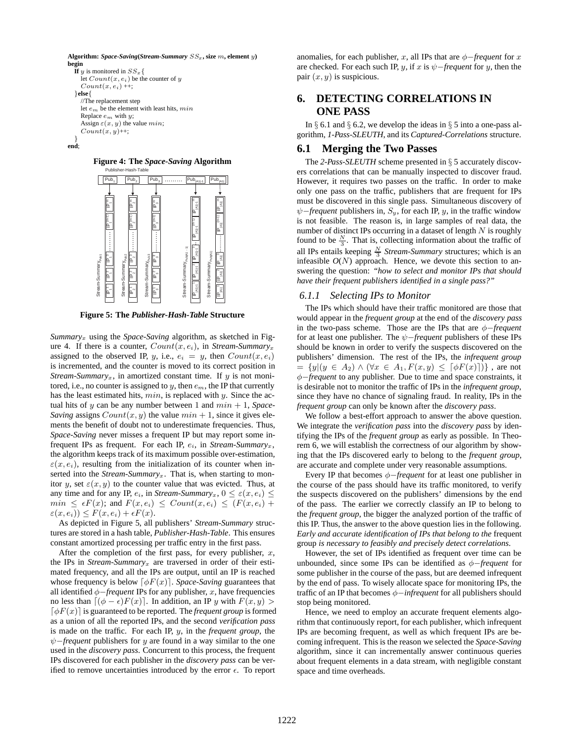```
Algorithm: Space-Saving(Stream-Summary SSx, size m, element y)
begin
  If y is monitored in SS_x {
     let Count(x, e_i) be the counter of y
     Count(x, e_i) +;
  }else{
     //The replacement step
     let \boldsymbol{e}_{m} be the element with least hits, minReplace em with y;
     Assign \varepsilon(x, y) the value min;Count(x, y) +;
   }
end;
```


**Figure 5: The** *Publisher-Hash-Table* **Structure**

*Summary*<sup>x</sup> using the *Space-Saving* algorithm, as sketched in Figure 4. If there is a counter,  $Count(x, e_i)$ , in *Stream-Summary<sub>x</sub>* assigned to the observed IP, y, i.e.,  $e_i = y$ , then  $Count(x, e_i)$ is incremented, and the counter is moved to its correct position in *Stream-Summary<sub>x</sub>*, in amortized constant time. If  $y$  is not monitored, i.e., no counter is assigned to  $y$ , then  $e_m$ , the IP that currently has the least estimated hits,  $min$ , is replaced with y. Since the actual hits of y can be any number between 1 and  $min + 1$ , *Space*-*Saving* assigns  $Count(x, y)$  the value  $min + 1$ , since it gives elements the benefit of doubt not to underestimate frequencies. Thus, *Space-Saving* never misses a frequent IP but may report some infrequent IPs as frequent. For each IP,  $e_i$ , in *Stream-Summary<sub>x</sub>*, the algorithm keeps track of its maximum possible over-estimation,  $\varepsilon(x, e_i)$ , resulting from the initialization of its counter when inserted into the *Stream-Summary<sub>x</sub>*. That is, when starting to monitor y, set  $\varepsilon(x, y)$  to the counter value that was evicted. Thus, at any time and for any IP,  $e_i$ , in *Stream-Summary<sub>x</sub>*,  $0 \le \varepsilon(x, e_i) \le$  $min \leq \epsilon F(x)$ ; and  $F(x, e_i) \leq Count(x, e_i) \leq (F(x, e_i) +$  $\varepsilon(x, e_i) \leq F(x, e_i) + \epsilon F(x).$ 

As depicted in Figure 5, all publishers' *Stream-Summary* structures are stored in a hash table, *Publisher-Hash-Table*. This ensures constant amortized processing per traffic entry in the first pass.

After the completion of the first pass, for every publisher,  $x$ , the IPs in *Stream-Summary<sub>x</sub>* are traversed in order of their estimated frequency, and all the IPs are output, until an IP is reached whose frequency is below  $\lceil \phi F(x) \rceil$ . *Space-Saving* guarantees that all identified  $\phi$ *−frequent* IPs for any publisher, x, have frequencies no less than  $[(\phi - \epsilon)F(x)]$ . In addition, an IP y with  $F(x, y)$  $\lceil \phi F(x) \rceil$  is guaranteed to be reported. The *frequent group* is formed as a union of all the reported IPs, and the second *verification pass* is made on the traffic. For each IP, y, in the *frequent group*, the ψ−*frequent* publishers for y are found in a way similar to the one used in the *discovery pass*. Concurrent to this process, the frequent IPs discovered for each publisher in the *discovery pass* can be verified to remove uncertainties introduced by the error  $\epsilon$ . To report

anomalies, for each publisher, x, all IPs that are  $\phi$ *-frequent* for x are checked. For each such IP, y, if x is  $\psi$ *-frequent* for y, then the pair  $(x, y)$  is suspicious.

# **6. DETECTING CORRELATIONS IN ONE PASS**

In  $\S$  6.1 and  $\S$  6.2, we develop the ideas in  $\S$  5 into a one-pass algorithm, *1-Pass-SLEUTH*, and its *Captured-Correlations* structure.

# **6.1 Merging the Two Passes**

The *2-Pass-SLEUTH* scheme presented in § 5 accurately discovers correlations that can be manually inspected to discover fraud. However, it requires two passes on the traffic. In order to make only one pass on the traffic, publishers that are frequent for IPs must be discovered in this single pass. Simultaneous discovery of  $ψ$ *-frequent* publishers in,  $S_y$ , for each IP, y, in the traffic window is not feasible. The reason is, in large samples of real data, the number of distinct IPs occurring in a dataset of length  $N$  is roughly found to be  $\frac{N}{3}$ . That is, collecting information about the traffic of all IPs entails keeping  $\frac{N}{3}$  *Stream-Summary* structures; which is an infeasible  $O(N)$  approach. Hence, we devote this section to answering the question: *"how to select and monitor IPs that should have their frequent publishers identified in a single pass?"*

#### *6.1.1 Selecting IPs to Monitor*

The IPs which should have their traffic monitored are those that would appear in the *frequent group* at the end of the *discovery pass* in the two-pass scheme. Those are the IPs that are φ−*frequent* for at least one publisher. The ψ−*frequent* publishers of these IPs should be known in order to verify the suspects discovered on the publishers' dimension. The rest of the IPs, the *infrequent group*  $=\{y|(y \in A_2) \wedge (\forall x \in A_1, F(x,y) \leq [\phi F(x)])\}$ , are not φ−*frequent* to any publisher. Due to time and space constraints, it is desirable not to monitor the traffic of IPs in the *infrequent group*, since they have no chance of signaling fraud. In reality, IPs in the *frequent group* can only be known after the *discovery pass*.

We follow a best-effort approach to answer the above question. We integrate the *verification pass* into the *discovery pass* by identifying the IPs of the *frequent group* as early as possible. In Theorem 6, we will establish the correctness of our algorithm by showing that the IPs discovered early to belong to the *frequent group*, are accurate and complete under very reasonable assumptions.

Every IP that becomes φ−*frequent* for at least one publisher in the course of the pass should have its traffic monitored, to verify the suspects discovered on the publishers' dimensions by the end of the pass. The earlier we correctly classify an IP to belong to the *frequent group*, the bigger the analyzed portion of the traffic of this IP. Thus, the answer to the above question lies in the following. *Early and accurate identification of IPs that belong to the* frequent group *is necessary to feasibly and precisely detect correlations*.

However, the set of IPs identified as frequent over time can be unbounded, since some IPs can be identified as φ−*frequent* for some publisher in the course of the pass, but are deemed infrequent by the end of pass. To wisely allocate space for monitoring IPs, the traffic of an IP that becomes φ−*infrequent* for all publishers should stop being monitored.

Hence, we need to employ an accurate frequent elements algorithm that continuously report, for each publisher, which infrequent IPs are becoming frequent, as well as which frequent IPs are becoming infrequent. This is the reason we selected the *Space-Saving* algorithm, since it can incrementally answer continuous queries about frequent elements in a data stream, with negligible constant space and time overheads.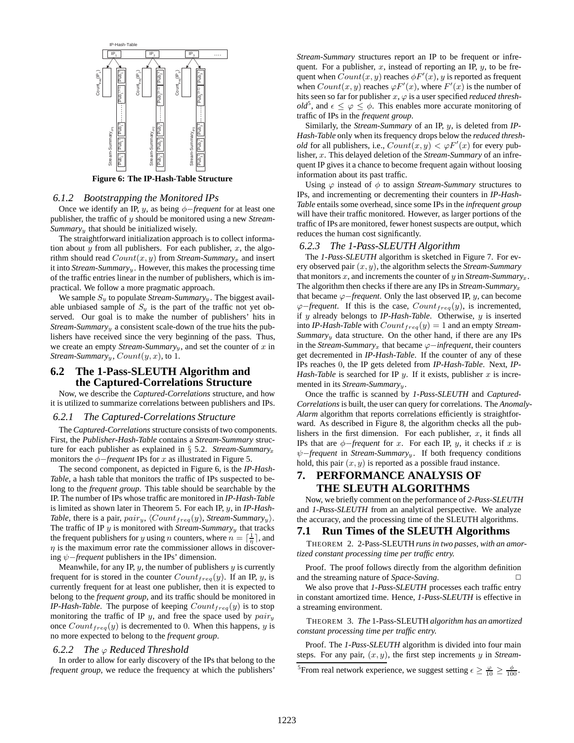

**Figure 6: The IP-Hash-Table Structure**

#### *6.1.2 Bootstrapping the Monitored IPs*

Once we identify an IP, y, as being φ−*frequent* for at least one publisher, the traffic of y should be monitored using a new *Stream-Summary*<sup>y</sup> that should be initialized wisely.

The straightforward initialization approach is to collect information about  $y$  from all publishers. For each publisher,  $x$ , the algorithm should read  $Count(x, y)$  from *Stream-Summary<sub>x</sub>* and insert it into *Stream-Summary*<sup>y</sup> . However, this makes the processing time of the traffic entries linear in the number of publishers, which is impractical. We follow a more pragmatic approach.

We sample  $S_y$  to populate *Stream-Summary<sub>y</sub>*. The biggest available unbiased sample of  $S_y$  is the part of the traffic not yet observed. Our goal is to make the number of publishers' hits in *Stream-Summary<sub>y</sub>* a consistent scale-down of the true hits the publishers have received since the very beginning of the pass. Thus, we create an empty *Stream-Summary<sub>y</sub>*, and set the counter of  $x$  in *Stream-Summary<sub>y</sub>*,  $Count(y, x)$ , to 1.

# **6.2 The 1-Pass-SLEUTH Algorithm and the Captured-Correlations Structure**

Now, we describe the *Captured-Correlations* structure, and how it is utilized to summarize correlations between publishers and IPs.

#### *6.2.1 The Captured-Correlations Structure*

The *Captured-Correlations* structure consists of two components. First, the *Publisher-Hash-Table* contains a *Stream-Summary* structure for each publisher as explained in  $\S$  5.2. *Stream-Summary<sub>x</sub>* monitors the  $\phi$ *-frequent* IPs for x as illustrated in Figure 5.

The second component, as depicted in Figure 6, is the *IP-Hash-Table*, a hash table that monitors the traffic of IPs suspected to belong to the *frequent group*. This table should be searchable by the IP. The number of IPs whose traffic are monitored in *IP-Hash-Table* is limited as shown later in Theorem 5. For each IP, y, in *IP-Hash-Table*, there is a pair,  $pair_y$ ,  $\langle Count_{freq}(y)$ , *Stream-Summary<sub>y</sub>*). The traffic of IP y is monitored with *Stream-Summary*<sup>y</sup> that tracks the frequent publishers for y using n counters, where  $n = \lceil \frac{1}{\eta} \rceil$ , and  $\eta$  is the maximum error rate the commissioner allows in discovering ψ−*frequent* publishers in the IPs' dimension.

Meanwhile, for any IP,  $y$ , the number of publishers  $y$  is currently frequent for is stored in the counter  $Count_{freq}(y)$ . If an IP, y, is currently frequent for at least one publisher, then it is expected to belong to the *frequent group*, and its traffic should be monitored in *IP-Hash-Table*. The purpose of keeping  $Count_{freq}(y)$  is to stop monitoring the traffic of IP y, and free the space used by  $pair<sub>v</sub>$ once  $Count_{freq}(y)$  is decremented to 0. When this happens, y is no more expected to belong to the *frequent group*.

#### *6.2.2 The*  $\varphi$  *Reduced Threshold*

In order to allow for early discovery of the IPs that belong to the *frequent group*, we reduce the frequency at which the publishers'

*Stream-Summary* structures report an IP to be frequent or infrequent. For a publisher,  $x$ , instead of reporting an IP,  $y$ , to be frequent when  $Count(x, y)$  reaches  $\phi F'(x)$ ,  $y$  is reported as frequent when  $Count(x, y)$  reaches  $\varphi F'(x)$ , where  $F'(x)$  is the number of hits seen so far for publisher  $x$ ,  $\varphi$  is a user specified *reduced threshold*<sup>5</sup>, and  $\epsilon \leq \varphi \leq \phi$ . This enables more accurate monitoring of traffic of IPs in the *frequent group*.

Similarly, the *Stream-Summary* of an IP, y, is deleted from *IP-Hash-Table* only when its frequency drops below the *reduced threshold* for all publishers, i.e.,  $Count(x, y) < \varphi F'(x)$  for every publisher, x. This delayed deletion of the *Stream-Summary* of an infrequent IP gives it a chance to become frequent again without loosing information about its past traffic.

Using  $\varphi$  instead of  $\phi$  to assign *Stream-Summary* structures to IPs, and incrementing or decrementing their counters in *IP-Hash-Table* entails some overhead, since some IPs in the *infrequent group* will have their traffic monitored. However, as larger portions of the traffic of IPs are monitored, fewer honest suspects are output, which reduces the human cost significantly.

#### *6.2.3 The 1-Pass-SLEUTH Algorithm*

The *1-Pass-SLEUTH* algorithm is sketched in Figure 7. For every observed pair (x, y), the algorithm selects the *Stream-Summary* that monitors x, and increments the counter of y in *Stream-Summary*x. The algorithm then checks if there are any IPs in *Stream-Summaryx* that became  $\varphi$ *−frequent*. Only the last observed IP, y, can become  $\varphi$ *−frequent*. If this is the case,  $Count_{freq}(y)$ , is incremented, if y already belongs to *IP-Hash-Table*. Otherwise, y is inserted into *IP-Hash-Table* with  $Count_{freq}(y) = 1$  and an empty *Stream-Summary*<sup>y</sup> data structure. On the other hand, if there are any IPs in the *Stream-Summary*<sup>x</sup> that became ϕ−*infrequent*, their counters get decremented in *IP-Hash-Table*. If the counter of any of these IPs reaches 0, the IP gets deleted from *IP-Hash-Table*. Next, *IP-Hash-Table* is searched for IP y. If it exists, publisher x is incremented in its *Stream-Summary*y.

Once the traffic is scanned by *1-Pass-SLEUTH* and *Captured-Correlations* is built, the user can query for correlations. The *Anomaly-Alarm* algorithm that reports correlations efficiently is straightforward. As described in Figure 8, the algorithm checks all the publishers in the first dimension. For each publisher,  $x$ , it finds all IPs that are  $\phi$ *-frequent* for x. For each IP, y, it checks if x is  $ψ$ *−frequent* in *Stream-Summary<sub>y</sub>*. If both frequency conditions hold, this pair  $(x, y)$  is reported as a possible fraud instance.

# **7. PERFORMANCE ANALYSIS OF THE SLEUTH ALGORITHMS**

Now, we briefly comment on the performance of *2-Pass-SLEUTH* and *1-Pass-SLEUTH* from an analytical perspective. We analyze the accuracy, and the processing time of the SLEUTH algorithms.

# **7.1 Run Times of the SLEUTH Algorithms**

THEOREM 2. 2-Pass-SLEUTH *runs in two passes, with an amortized constant processing time per traffic entry.*

Proof. The proof follows directly from the algorithm definition and the streaming nature of *Space-Saving*.

We also prove that *1-Pass-SLEUTH* processes each traffic entry in constant amortized time. Hence, *1-Pass-SLEUTH* is effective in a streaming environment.

THEOREM 3. *The* 1-Pass-SLEUTH *algorithm has an amortized constant processing time per traffic entry.*

Proof. The *1-Pass-SLEUTH* algorithm is divided into four main steps. For any pair,  $(x, y)$ , the first step increments  $y$  in *Stream*-

<sup>5</sup> From real network experience, we suggest setting  $\epsilon \geq \frac{\varphi}{10} \geq \frac{\phi}{100}$ .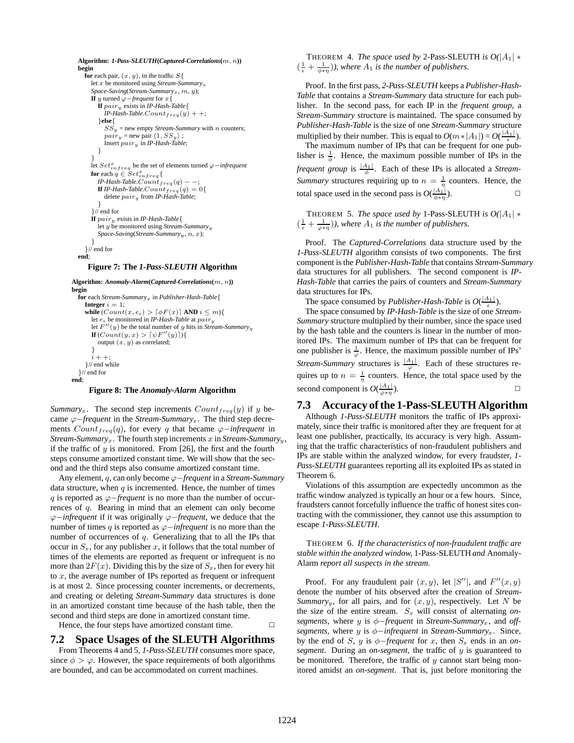```
Algorithm: 1-Pass-SLEUTH(Captured-Correlations(m, n))
begin
  for each pair, (x, y), in the traffic S{
    let x be monitored using Stream-Summaryx
     Space-Saving(Stream-Summaryx, m, y);
    If y turned \varphi−frequent for x{
       If pairy exists in IP-Hash-Table{
          IP-Hash-Table.Count_{freq}(y) + +;
       }else{
          SS_y = new empty Stream-Summary with n counters;
          pair_y = new pair \langle 1, SS_y \rangle;
          Insert pairy in IP-Hash-Table;
       }
     }
let Setx
infreq be the set of elements turned ϕ−infrequent
for each q ∈ Setx
infreq{
IP-Hash-Table.Countfreq(q) − −;
       If IP-Hash-Table.Count<sub>freq</sub>(q) = 0{
          delete pairq from IP-Hash-Table;
       }
     }// end for
    If pairy exists in IP-Hash-Table{
       let y be monitored using Stream-Summaryy
       Space-Saving(Stream-Summaryy, n, x);
    }
  }// end for
end;
```
#### **Figure 7: The** *1-Pass-SLEUTH* **Algorithm**

**Algorithm:** *Anomaly-Alarm***(***Captured-Correlations***(**m, n**)) begin for** each *Stream-Summary<sup>x</sup>* in *Publisher-Hash-Table*{ **Integer**  $i = 1$ ;

```
while (Count(x, e_i) > \lceil \phi F(x) \rceil) AND i \leq m<sup>[</sup>
        let ei be monitored in IP-Hash-Table at pairy
         let F''(y) be the total number of y hits in Stream-Summary<sub>y</sub>
         If (Count(y, x) > \lceil \psi F''(y) \rceil)output (x, y) as correlated;
         }
        i + +;
      }// end while
   }// end for
end;
```
#### **Figure 8: The** *Anomaly-Alarm* **Algorithm**

*Summary<sub>x</sub>*. The second step increments  $Count_{freq}(y)$  if y became *ϕ−frequent* in the *Stream-Summary<sub>x</sub>*. The third step decrements  $Count_{freq}(q)$ , for every q that became  $\varphi$ *−infrequent* in *Stream-Summary<sub>x</sub>*. The fourth step increments x in *Stream-Summary<sub>y</sub>*, if the traffic of  $y$  is monitored. From [26], the first and the fourth steps consume amortized constant time. We will show that the second and the third steps also consume amortized constant time.

Any element, q, can only become ϕ−*frequent* in a *Stream-Summary* data structure, when  $q$  is incremented. Hence, the number of times q is reported as ϕ−*frequent* is no more than the number of occurrences of q. Bearing in mind that an element can only become ϕ−*infrequent* if it was originally ϕ−*frequent*, we deduce that the number of times q is reported as ϕ−*infrequent* is no more than the number of occurrences of  $q$ . Generalizing that to all the IPs that occur in  $S_x$ , for any publisher x, it follows that the total number of times of the elements are reported as frequent or infrequent is no more than  $2F(x)$ . Dividing this by the size of  $S_x$ , then for every hit to  $x$ , the average number of IPs reported as frequent or infrequent is at most 2. Since processing counter increments, or decrements, and creating or deleting *Stream-Summary* data structures is done in an amortized constant time because of the hash table, then the second and third steps are done in amortized constant time.

Hence, the four steps have amortized constant time.  $\Box$ 

# **7.2 Space Usages of the SLEUTH Algorithms**

From Theorems 4 and 5, *1-Pass-SLEUTH* consumes more space, since  $\phi > \varphi$ . However, the space requirements of both algorithms are bounded, and can be accommodated on current machines.

THEOREM 4. *The space used by* 2-Pass-SLEUTH *is O*( $|A_1|$  \*  $(\frac{1}{\epsilon} + \frac{1}{\phi * \eta}))$ , where  $A_1$  is the number of publishers.

Proof. In the first pass, *2-Pass-SLEUTH* keeps a *Publisher-Hash-Table* that contains a *Stream-Summary* data structure for each publisher. In the second pass, for each IP in the *frequent group*, a *Stream-Summary* structure is maintained. The space consumed by *Publisher-Hash-Table* is the size of one *Stream-Summary* structure multiplied by their number. This is equal to  $O(m * |A_1|) = O(\frac{|A_1|}{\epsilon})$ .

The maximum number of IPs that can be frequent for one publisher is  $\frac{1}{\phi}$ . Hence, the maximum possible number of IPs in the *frequent group* is  $\frac{|A_1|}{\phi}$ . Each of these IPs is allocated a *Stream*-*Summary* structures requiring up to  $n = \frac{1}{\eta}$  counters. Hence, the total space used in the second pass is  $O(\frac{|A_1|}{\phi*\eta})$ .

THEOREM 5. *The space used by* 1-Pass-SLEUTH *is O*( $|A_1|$  \*  $(\frac{1}{\epsilon} + \frac{1}{\varphi * \eta}))$ , where  $A_1$  is the number of publishers.

Proof. The *Captured-Correlations* data structure used by the *1-Pass-SLEUTH* algorithm consists of two components. The first component is the *Publisher-Hash-Table* that contains *Stream-Summary* data structures for all publishers. The second component is *IP-Hash-Table* that carries the pairs of counters and *Stream-Summary* data structures for IPs.

The space consumed by *Publisher-Hash-Table* is  $O(\frac{|A_1|}{\epsilon})$ .

The space consumed by *IP-Hash-Table* is the size of one *Stream-Summary* structure multiplied by their number, since the space used by the hash table and the counters is linear in the number of monitored IPs. The maximum number of IPs that can be frequent for one publisher is  $\frac{1}{\varphi}$ . Hence, the maximum possible number of IPs' *Stream-Summary* structures is  $\frac{|A_1|}{\varphi}$ . Each of these structures requires up to  $n = \frac{1}{\eta}$  counters. Hence, the total space used by the second component is  $O(\frac{|A_1|}{\varphi * \eta})$ .

### **7.3 Accuracy of the 1-Pass-SLEUTH Algorithm**

Although *1-Pass-SLEUTH* monitors the traffic of IPs approximately, since their traffic is monitored after they are frequent for at least one publisher, practically, its accuracy is very high. Assuming that the traffic characteristics of non-fraudulent publishers and IPs are stable within the analyzed window, for every fraudster, *1- Pass-SLEUTH* guarantees reporting all its exploited IPs as stated in Theorem 6.

Violations of this assumption are expectedly uncommon as the traffic window analyzed is typically an hour or a few hours. Since, fraudsters cannot forcefully influence the traffic of honest sites contracting with the commissioner, they cannot use this assumption to escape *1-Pass-SLEUTH*.

THEOREM 6. *If the characteristics of non-fraudulent traffic are stable within the analyzed window,* 1-Pass-SLEUTH *and* Anomaly-Alarm *report all suspects in the stream.*

Proof. For any fraudulent pair  $(x, y)$ , let  $|S''|$ , and  $F''(x, y)$ denote the number of hits observed after the creation of *Stream-Summary<sub>y</sub>*, for all pairs, and for  $(x, y)$ , respectively. Let N be the size of the entire stream.  $S_x$  will consist of alternating *onsegments*, where y is  $\phi$ -*frequent* in *Stream-Summary<sub>x</sub>*, and *offsegments*, where *y* is *φ*−*infrequent* in *Stream-Summary<sub>x</sub></sub>*. Since, by the end of S, y is  $\phi$ -frequent for x, then  $S_x$  ends in an *onsegment*. During an *on-segment*, the traffic of y is guaranteed to be monitored. Therefore, the traffic of  $y$  cannot start being monitored amidst an *on-segment*. That is, just before monitoring the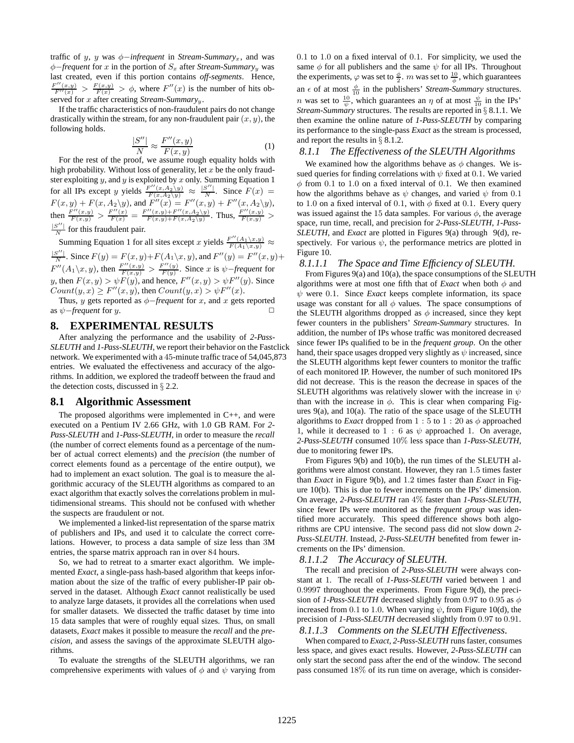traffic of *y*, *y* was *φ*−*infrequent* in *Stream-Summary<sub>x</sub></sub>*, and was  $\phi$ *−frequent* for x in the portion of  $S_x$  after *Stream-Summary*<sub>y</sub> was last created, even if this portion contains *off-segments*. Hence,  $\frac{F''(x,y)}{F''(x)} > \frac{F(x,y)}{F(x)} > \phi$ , where  $F''(x)$  is the number of hits observed for x after creating *Stream-Summary<sub>u</sub>*.

If the traffic characteristics of non-fraudulent pairs do not change drastically within the stream, for any non-fraudulent pair  $(x, y)$ , the following holds.

$$
\frac{|S''|}{N} \approx \frac{F''(x,y)}{F(x,y)}\tag{1}
$$

For the rest of the proof, we assume rough equality holds with high probability. Without loss of generality, let  $x$  be the only fraudster exploiting  $y$ , and  $y$  is exploited by  $x$  only. Summing Equation 1 for all IPs except y yields  $\frac{F''(x,A_2 \setminus y)}{F(x,A_2 \setminus y)} \approx \frac{|S''|}{N}$ . Since  $F(x) =$  $F(x, y) + F(x, A_2 \backslash y)$ , and  $F''(x) = F''(x, y) + F''(x, A_2 \backslash y)$ , then  $\frac{F''(x,y)}{F(x,y)} > \frac{F''(x)}{F(x)} = \frac{F''(x,y) + F''(x,A_2 \setminus y)}{F(x,y) + F(x,A_2 \setminus y)}$ . Thus,  $\frac{F''(x,y)}{F(x,y)} >$  $\frac{|S''|}{N}$  for this fraudulent pair.

Summing Equation 1 for all sites except x yields  $\frac{F''(A_1 \setminus x, y)}{F(A_1 \setminus x, y)} \approx$  $\frac{|S''|}{N}$ . Since  $F(y) = F(x, y) + F(A_1 \backslash x, y)$ , and  $F''(y) = F''(x, y) +$  $F''(A_1 \backslash x, y)$ , then  $\frac{F''(x,y)}{F(x,y)} > \frac{F''(y)}{F(y)}$ . Since x is  $\psi$ -frequent for y, then  $F(x, y) > \psi F(y)$ , and hence,  $F''(x, y) > \psi F''(y)$ . Since  $Count(y, x) \geq F''(x, y)$ , then  $Count(y, x) > \psi F''(x)$ .

Thus, y gets reported as  $\phi$ *-frequent* for x, and x gets reported as  $\psi$ *−frequent* for y.  $\Box$ 

# **8. EXPERIMENTAL RESULTS**

After analyzing the performance and the usability of *2-Pass-SLEUTH* and *1-Pass-SLEUTH*, we report their behavior on the Fastclick network. We experimented with a 45-minute traffic trace of 54,045,873 entries. We evaluated the effectiveness and accuracy of the algorithms. In addition, we explored the tradeoff between the fraud and the detection costs, discussed in § 2.2.

#### **8.1 Algorithmic Assessment**

The proposed algorithms were implemented in C++, and were executed on a Pentium IV 2.66 GHz, with 1.0 GB RAM. For *2- Pass-SLEUTH* and *1-Pass-SLEUTH*, in order to measure the *recall* (the number of correct elements found as a percentage of the number of actual correct elements) and the *precision* (the number of correct elements found as a percentage of the entire output), we had to implement an exact solution. The goal is to measure the algorithmic accuracy of the SLEUTH algorithms as compared to an exact algorithm that exactly solves the correlations problem in multidimensional streams. This should not be confused with whether the suspects are fraudulent or not.

We implemented a linked-list representation of the sparse matrix of publishers and IPs, and used it to calculate the correct correlations. However, to process a data sample of size less than 3M entries, the sparse matrix approach ran in over 84 hours.

So, we had to retreat to a smarter exact algorithm. We implemented *Exact*, a single-pass hash-based algorithm that keeps information about the size of the traffic of every publisher-IP pair observed in the dataset. Although *Exact* cannot realistically be used to analyze large datasets, it provides all the correlations when used for smaller datasets. We dissected the traffic dataset by time into 15 data samples that were of roughly equal sizes. Thus, on small datasets, *Exact* makes it possible to measure the *recall* and the *precision*, and assess the savings of the approximate SLEUTH algorithms.

To evaluate the strengths of the SLEUTH algorithms, we ran comprehensive experiments with values of  $\phi$  and  $\psi$  varying from 0.1 to 1.0 on a fixed interval of 0.1. For simplicity, we used the same  $\phi$  for all publishers and the same  $\psi$  for all IPs. Throughout the experiments,  $\varphi$  was set to  $\frac{\phi}{2}$ . *m* was set to  $\frac{10}{\phi}$ , which guarantees an  $\epsilon$  of at most  $\frac{\phi}{10}$  in the publishers' *Stream-Summary* structures. *n* was set to  $\frac{10}{\psi}$ , which guarantees an  $\eta$  of at most  $\frac{\psi}{10}$  in the IPs' *Stream-Summary* structures. The results are reported in § 8.1.1. We then examine the online nature of *1-Pass-SLEUTH* by comparing its performance to the single-pass *Exact* as the stream is processed, and report the results in § 8.1.2.

### *8.1.1 The Effectiveness of the SLEUTH Algorithms*

We examined how the algorithms behave as  $\phi$  changes. We issued queries for finding correlations with  $\psi$  fixed at 0.1. We varied  $\phi$  from 0.1 to 1.0 on a fixed interval of 0.1. We then examined how the algorithms behave as  $\psi$  changes, and varied  $\psi$  from 0.1 to 1.0 on a fixed interval of 0.1, with  $\phi$  fixed at 0.1. Every query was issued against the 15 data samples. For various  $\phi$ , the average space, run time, recall, and precision for *2-Pass-SLEUTH*, *1-Pass-SLEUTH*, and *Exact* are plotted in Figures 9(a) through 9(d), respectively. For various  $\psi$ , the performance metrics are plotted in Figure 10.

#### *8.1.1.1 The Space and Time Efficiency of SLEUTH.*

From Figures 9(a) and 10(a), the space consumptions of the SLEUTH algorithms were at most one fifth that of *Exact* when both  $\phi$  and  $\psi$  were 0.1. Since *Exact* keeps complete information, its space usage was constant for all  $\phi$  values. The space consumptions of the SLEUTH algorithms dropped as  $\phi$  increased, since they kept fewer counters in the publishers' *Stream-Summary* structures. In addition, the number of IPs whose traffic was monitored decreased since fewer IPs qualified to be in the *frequent group*. On the other hand, their space usages dropped very slightly as  $\psi$  increased, since the SLEUTH algorithms kept fewer counters to monitor the traffic of each monitored IP. However, the number of such monitored IPs did not decrease. This is the reason the decrease in spaces of the SLEUTH algorithms was relatively slower with the increase in  $\psi$ than with the increase in  $\phi$ . This is clear when comparing Figures 9(a), and 10(a). The ratio of the space usage of the SLEUTH algorithms to *Exact* dropped from  $1:5$  to  $1:20$  as  $\phi$  approached 1, while it decreased to 1:6 as  $\psi$  approached 1. On average, *2-Pass-SLEUTH* consumed 10% less space than *1-Pass-SLEUTH*, due to monitoring fewer IPs.

From Figures 9(b) and 10(b), the run times of the SLEUTH algorithms were almost constant. However, they ran 1.5 times faster than *Exact* in Figure 9(b), and 1.2 times faster than *Exact* in Figure 10(b). This is due to fewer increments on the IPs' dimension. On average, *2-Pass-SLEUTH* ran 4% faster than *1-Pass-SLEUTH*, since fewer IPs were monitored as the *frequent group* was identified more accurately. This speed difference shows both algorithms are CPU intensive. The second pass did not slow down *2- Pass-SLEUTH*. Instead, *2-Pass-SLEUTH* benefited from fewer increments on the IPs' dimension.

# *8.1.1.2 The Accuracy of SLEUTH.*

The recall and precision of *2-Pass-SLEUTH* were always constant at 1. The recall of *1-Pass-SLEUTH* varied between 1 and 0.9997 throughout the experiments. From Figure 9(d), the precision of *1-Pass-SLEUTH* decreased slightly from 0.97 to 0.95 as  $\phi$ increased from 0.1 to 1.0. When varying  $\psi$ , from Figure 10(d), the precision of *1-Pass-SLEUTH* decreased slightly from 0.97 to 0.91.

# *8.1.1.3 Comments on the SLEUTH Effectiveness.*

When compared to *Exact*, *2-Pass-SLEUTH* runs faster, consumes less space, and gives exact results. However, *2-Pass-SLEUTH* can only start the second pass after the end of the window. The second pass consumed 18% of its run time on average, which is consider-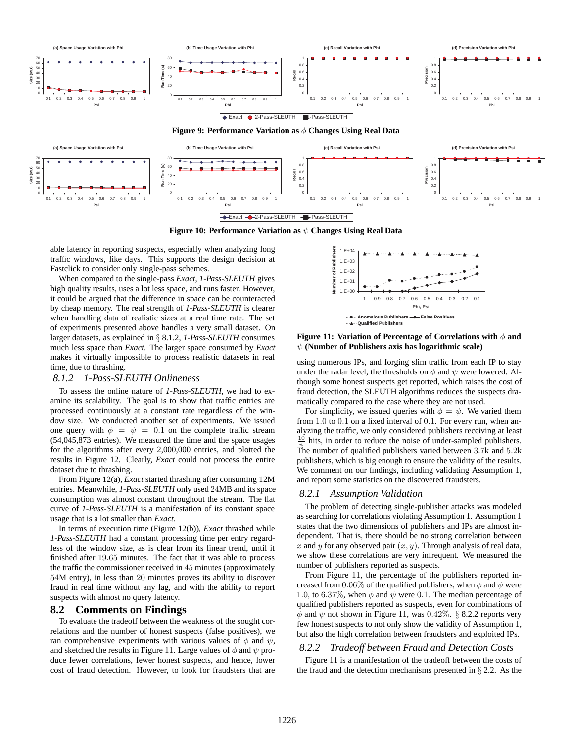



able latency in reporting suspects, especially when analyzing long traffic windows, like days. This supports the design decision at Fastclick to consider only single-pass schemes.

When compared to the single-pass *Exact*, *1-Pass-SLEUTH* gives high quality results, uses a lot less space, and runs faster. However, it could be argued that the difference in space can be counteracted by cheap memory. The real strength of *1-Pass-SLEUTH* is clearer when handling data of realistic sizes at a real time rate. The set of experiments presented above handles a very small dataset. On larger datasets, as explained in § 8.1.2, *1-Pass-SLEUTH* consumes much less space than *Exact*. The larger space consumed by *Exact* makes it virtually impossible to process realistic datasets in real time, due to thrashing.

# *8.1.2 1-Pass-SLEUTH Onlineness*

To assess the online nature of *1-Pass-SLEUTH*, we had to examine its scalability. The goal is to show that traffic entries are processed continuously at a constant rate regardless of the window size. We conducted another set of experiments. We issued one query with  $\phi = \psi = 0.1$  on the complete traffic stream (54,045,873 entries). We measured the time and the space usages for the algorithms after every 2,000,000 entries, and plotted the results in Figure 12. Clearly, *Exact* could not process the entire dataset due to thrashing.

From Figure 12(a), *Exact* started thrashing after consuming 12M entries. Meanwhile, *1-Pass-SLEUTH* only used 24MB and its space consumption was almost constant throughout the stream. The flat curve of *1-Pass-SLEUTH* is a manifestation of its constant space usage that is a lot smaller than *Exact*.

In terms of execution time (Figure 12(b)), *Exact* thrashed while *1-Pass-SLEUTH* had a constant processing time per entry regardless of the window size, as is clear from its linear trend, until it finished after 19.65 minutes. The fact that it was able to process the traffic the commissioner received in 45 minutes (approximately 54M entry), in less than 20 minutes proves its ability to discover fraud in real time without any lag, and with the ability to report suspects with almost no query latency.

# **8.2 Comments on Findings**

To evaluate the tradeoff between the weakness of the sought correlations and the number of honest suspects (false positives), we ran comprehensive experiments with various values of  $\phi$  and  $\psi$ , and sketched the results in Figure 11. Large values of  $\phi$  and  $\psi$  produce fewer correlations, fewer honest suspects, and hence, lower cost of fraud detection. However, to look for fraudsters that are



**Figure 11: Variation of Percentage of Correlations with** φ **and** ψ **(Number of Publishers axis has logarithmic scale)**

using numerous IPs, and forging slim traffic from each IP to stay under the radar level, the thresholds on  $\phi$  and  $\psi$  were lowered. Although some honest suspects get reported, which raises the cost of fraud detection, the SLEUTH algorithms reduces the suspects dramatically compared to the case where they are not used.

For simplicity, we issued queries with  $\phi = \psi$ . We varied them from 1.0 to 0.1 on a fixed interval of 0.1. For every run, when analyzing the traffic, we only considered publishers receiving at least  $\frac{10}{\psi}$  hits, in order to reduce the noise of under-sampled publishers. The number of qualified publishers varied between 3.7k and 5.2k publishers, which is big enough to ensure the validity of the results. We comment on our findings, including validating Assumption 1, and report some statistics on the discovered fraudsters.

#### *8.2.1 Assumption Validation*

The problem of detecting single-publisher attacks was modeled as searching for correlations violating Assumption 1. Assumption 1 states that the two dimensions of publishers and IPs are almost independent. That is, there should be no strong correlation between x and y for any observed pair  $(x, y)$ . Through analysis of real data, we show these correlations are very infrequent. We measured the number of publishers reported as suspects.

From Figure 11, the percentage of the publishers reported increased from 0.06% of the qualified publishers, when  $\phi$  and  $\psi$  were 1.0, to 6.37%, when  $\phi$  and  $\psi$  were 0.1. The median percentage of qualified publishers reported as suspects, even for combinations of  $\phi$  and  $\psi$  not shown in Figure 11, was 0.42%. § 8.2.2 reports very few honest suspects to not only show the validity of Assumption 1, but also the high correlation between fraudsters and exploited IPs.

#### *8.2.2 Tradeoff between Fraud and Detection Costs*

Figure 11 is a manifestation of the tradeoff between the costs of the fraud and the detection mechanisms presented in  $\S 2.2$ . As the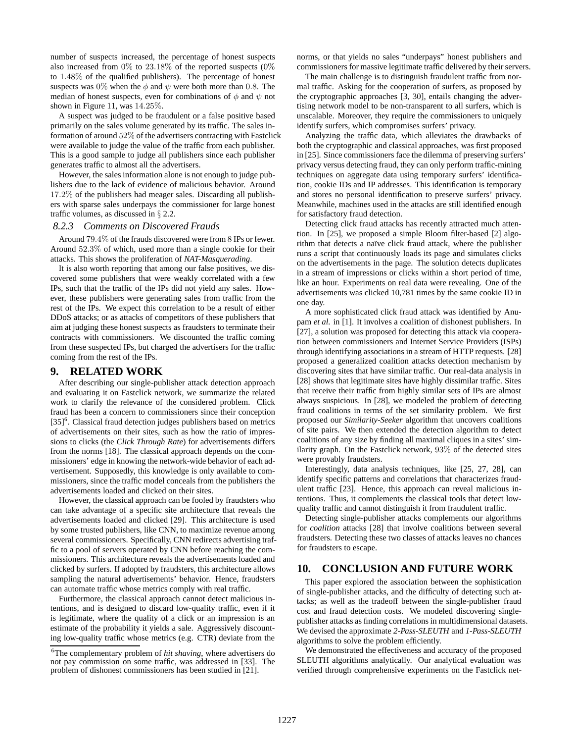number of suspects increased, the percentage of honest suspects also increased from  $0\%$  to 23.18% of the reported suspects  $(0\%$ to 1.48% of the qualified publishers). The percentage of honest suspects was 0% when the  $\phi$  and  $\psi$  were both more than 0.8. The median of honest suspects, even for combinations of  $\phi$  and  $\psi$  not shown in Figure 11, was 14.25%.

A suspect was judged to be fraudulent or a false positive based primarily on the sales volume generated by its traffic. The sales information of around 52% of the advertisers contracting with Fastclick were available to judge the value of the traffic from each publisher. This is a good sample to judge all publishers since each publisher generates traffic to almost all the advertisers.

However, the sales information alone is not enough to judge publishers due to the lack of evidence of malicious behavior. Around 17.2% of the publishers had meager sales. Discarding all publishers with sparse sales underpays the commissioner for large honest traffic volumes, as discussed in § 2.2.

#### *8.2.3 Comments on Discovered Frauds*

Around 79.4% of the frauds discovered were from 8 IPs or fewer. Around 52.3% of which, used more than a single cookie for their attacks. This shows the proliferation of *NAT-Masquerading*.

It is also worth reporting that among our false positives, we discovered some publishers that were weakly correlated with a few IPs, such that the traffic of the IPs did not yield any sales. However, these publishers were generating sales from traffic from the rest of the IPs. We expect this correlation to be a result of either DDoS attacks; or as attacks of competitors of these publishers that aim at judging these honest suspects as fraudsters to terminate their contracts with commissioners. We discounted the traffic coming from these suspected IPs, but charged the advertisers for the traffic coming from the rest of the IPs.

## **9. RELATED WORK**

After describing our single-publisher attack detection approach and evaluating it on Fastclick network, we summarize the related work to clarify the relevance of the considered problem. Click fraud has been a concern to commissioners since their conception [35]<sup>6</sup>. Classical fraud detection judges publishers based on metrics of advertisements on their sites, such as how the ratio of impressions to clicks (the *Click Through Rate*) for advertisements differs from the norms [18]. The classical approach depends on the commissioners' edge in knowing the network-wide behavior of each advertisement. Supposedly, this knowledge is only available to commissioners, since the traffic model conceals from the publishers the advertisements loaded and clicked on their sites.

However, the classical approach can be fooled by fraudsters who can take advantage of a specific site architecture that reveals the advertisements loaded and clicked [29]. This architecture is used by some trusted publishers, like CNN, to maximize revenue among several commissioners. Specifically, CNN redirects advertising traffic to a pool of servers operated by CNN before reaching the commissioners. This architecture reveals the advertisements loaded and clicked by surfers. If adopted by fraudsters, this architecture allows sampling the natural advertisements' behavior. Hence, fraudsters can automate traffic whose metrics comply with real traffic.

Furthermore, the classical approach cannot detect malicious intentions, and is designed to discard low-quality traffic, even if it is legitimate, where the quality of a click or an impression is an estimate of the probability it yields a sale. Aggressively discounting low-quality traffic whose metrics (e.g. CTR) deviate from the norms, or that yields no sales "underpays" honest publishers and commissioners for massive legitimate traffic delivered by their servers.

The main challenge is to distinguish fraudulent traffic from normal traffic. Asking for the cooperation of surfers, as proposed by the cryptographic approaches [3, 30], entails changing the advertising network model to be non-transparent to all surfers, which is unscalable. Moreover, they require the commissioners to uniquely identify surfers, which compromises surfers' privacy.

Analyzing the traffic data, which alleviates the drawbacks of both the cryptographic and classical approaches, was first proposed in [25]. Since commissioners face the dilemma of preserving surfers' privacy versus detecting fraud, they can only perform traffic-mining techniques on aggregate data using temporary surfers' identification, cookie IDs and IP addresses. This identification is temporary and stores no personal identification to preserve surfers' privacy. Meanwhile, machines used in the attacks are still identified enough for satisfactory fraud detection.

Detecting click fraud attacks has recently attracted much attention. In [25], we proposed a simple Bloom filter-based [2] algorithm that detects a naïve click fraud attack, where the publisher runs a script that continuously loads its page and simulates clicks on the advertisements in the page. The solution detects duplicates in a stream of impressions or clicks within a short period of time, like an hour. Experiments on real data were revealing. One of the advertisements was clicked 10,781 times by the same cookie ID in one day.

A more sophisticated click fraud attack was identified by Anupam *et al.* in [1]. It involves a coalition of dishonest publishers. In [27], a solution was proposed for detecting this attack via cooperation between commissioners and Internet Service Providers (ISPs) through identifying associations in a stream of HTTP requests. [28] proposed a generalized coalition attacks detection mechanism by discovering sites that have similar traffic. Our real-data analysis in [28] shows that legitimate sites have highly dissimilar traffic. Sites that receive their traffic from highly similar sets of IPs are almost always suspicious. In [28], we modeled the problem of detecting fraud coalitions in terms of the set similarity problem. We first proposed our *Similarity-Seeker* algorithm that uncovers coalitions of site pairs. We then extended the detection algorithm to detect coalitions of any size by finding all maximal cliques in a sites' similarity graph. On the Fastclick network, 93% of the detected sites were provably fraudsters.

Interestingly, data analysis techniques, like [25, 27, 28], can identify specific patterns and correlations that characterizes fraudulent traffic [23]. Hence, this approach can reveal malicious intentions. Thus, it complements the classical tools that detect lowquality traffic and cannot distinguish it from fraudulent traffic.

Detecting single-publisher attacks complements our algorithms for *coalition* attacks [28] that involve coalitions between several fraudsters. Detecting these two classes of attacks leaves no chances for fraudsters to escape.

## **10. CONCLUSION AND FUTURE WORK**

This paper explored the association between the sophistication of single-publisher attacks, and the difficulty of detecting such attacks; as well as the tradeoff between the single-publisher fraud cost and fraud detection costs. We modeled discovering singlepublisher attacks as finding correlations in multidimensional datasets. We devised the approximate *2-Pass-SLEUTH* and *1-Pass-SLEUTH* algorithms to solve the problem efficiently.

We demonstrated the effectiveness and accuracy of the proposed SLEUTH algorithms analytically. Our analytical evaluation was verified through comprehensive experiments on the Fastclick net-

<sup>6</sup> The complementary problem of *hit shaving*, where advertisers do not pay commission on some traffic, was addressed in [33]. The problem of dishonest commissioners has been studied in [21].